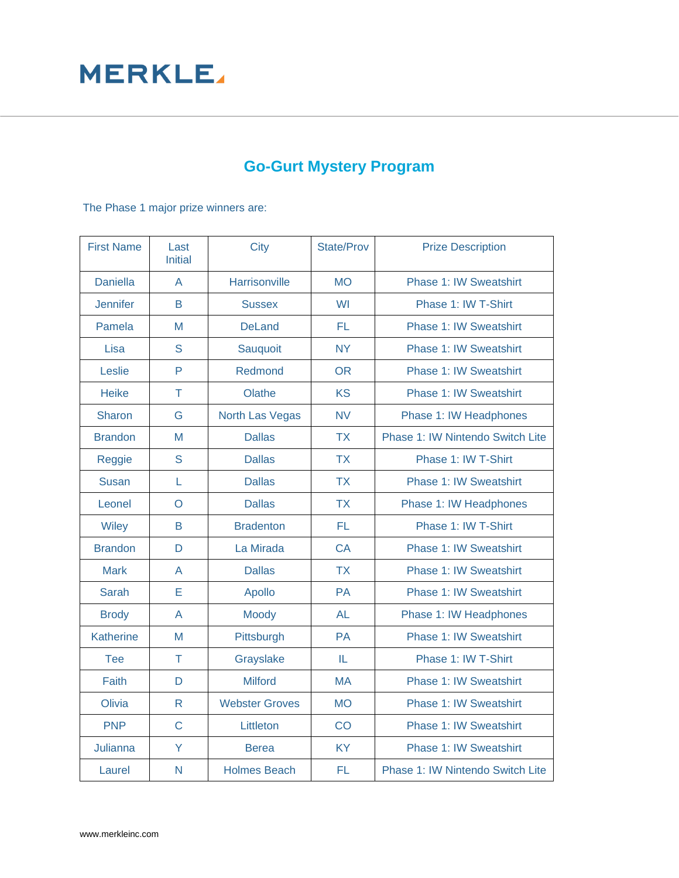## **MERKLE**

## **Go-Gurt Mystery Program**

The Phase 1 major prize winners are:

| <b>First Name</b> | Last<br><b>Initial</b> | City                   | <b>State/Prov</b> | <b>Prize Description</b>         |
|-------------------|------------------------|------------------------|-------------------|----------------------------------|
| <b>Daniella</b>   | $\overline{A}$         | Harrisonville          | <b>MO</b>         | <b>Phase 1: IW Sweatshirt</b>    |
| <b>Jennifer</b>   | B                      | <b>Sussex</b>          | <b>WI</b>         | Phase 1: IW T-Shirt              |
| Pamela            | M                      | <b>DeLand</b>          | FL.               | <b>Phase 1: IW Sweatshirt</b>    |
| Lisa              | S                      | Sauquoit               | <b>NY</b>         | Phase 1: IW Sweatshirt           |
| Leslie            | P                      | Redmond                | <b>OR</b>         | Phase 1: IW Sweatshirt           |
| <b>Heike</b>      | T                      | Olathe                 | <b>KS</b>         | Phase 1: IW Sweatshirt           |
| <b>Sharon</b>     | G                      | <b>North Las Vegas</b> | <b>NV</b>         | Phase 1: IW Headphones           |
| <b>Brandon</b>    | M                      | <b>Dallas</b>          | <b>TX</b>         | Phase 1: IW Nintendo Switch Lite |
| Reggie            | S                      | <b>Dallas</b>          | <b>TX</b>         | Phase 1: IW T-Shirt              |
| <b>Susan</b>      | L                      | <b>Dallas</b>          | <b>TX</b>         | <b>Phase 1: IW Sweatshirt</b>    |
| Leonel            | $\circ$                | <b>Dallas</b>          | <b>TX</b>         | Phase 1: IW Headphones           |
| Wiley             | B                      | <b>Bradenton</b>       | FL.               | Phase 1: IW T-Shirt              |
| <b>Brandon</b>    | D                      | La Mirada              | <b>CA</b>         | Phase 1: IW Sweatshirt           |
| <b>Mark</b>       | A                      | <b>Dallas</b>          | <b>TX</b>         | Phase 1: IW Sweatshirt           |
| Sarah             | E                      | Apollo                 | <b>PA</b>         | <b>Phase 1: IW Sweatshirt</b>    |
| <b>Brody</b>      | A                      | Moody                  | <b>AL</b>         | Phase 1: IW Headphones           |
| <b>Katherine</b>  | M                      | Pittsburgh             | <b>PA</b>         | <b>Phase 1: IW Sweatshirt</b>    |
| Tee               | T                      | Grayslake              | IL.               | Phase 1: IW T-Shirt              |
| Faith             | D                      | <b>Milford</b>         | <b>MA</b>         | <b>Phase 1: IW Sweatshirt</b>    |
| Olivia            | $\mathsf{R}$           | <b>Webster Groves</b>  | <b>MO</b>         | <b>Phase 1: IW Sweatshirt</b>    |
| <b>PNP</b>        | $\overline{C}$         | Littleton              | CO                | Phase 1: IW Sweatshirt           |
| Julianna          | Ÿ                      | <b>Berea</b>           | <b>KY</b>         | <b>Phase 1: IW Sweatshirt</b>    |
| Laurel            | N                      | <b>Holmes Beach</b>    | FL.               | Phase 1: IW Nintendo Switch Lite |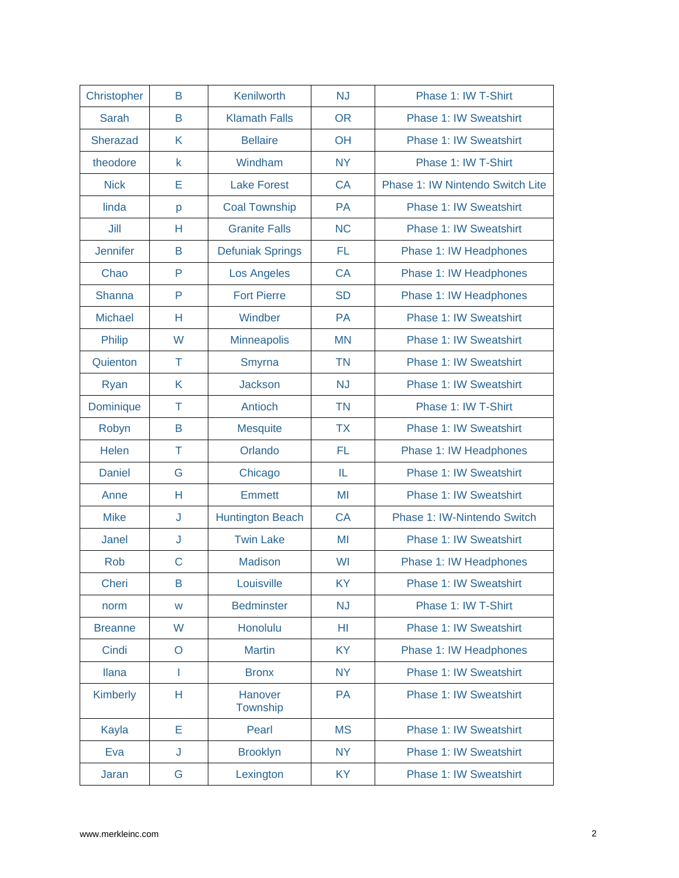| Christopher     | B           | Kenilworth              | <b>NJ</b> | Phase 1: IW T-Shirt              |
|-----------------|-------------|-------------------------|-----------|----------------------------------|
| Sarah           | B           | <b>Klamath Falls</b>    | <b>OR</b> | Phase 1: IW Sweatshirt           |
| Sherazad        | K           | <b>Bellaire</b>         | OH        | <b>Phase 1: IW Sweatshirt</b>    |
| theodore        | $\mathsf k$ | Windham                 | <b>NY</b> | Phase 1: IW T-Shirt              |
| <b>Nick</b>     | Е           | <b>Lake Forest</b>      | <b>CA</b> | Phase 1: IW Nintendo Switch Lite |
| linda           | p           | <b>Coal Township</b>    | PA        | <b>Phase 1: IW Sweatshirt</b>    |
| Jill            | Н           | <b>Granite Falls</b>    | <b>NC</b> | <b>Phase 1: IW Sweatshirt</b>    |
| <b>Jennifer</b> | B           | <b>Defuniak Springs</b> | FL.       | Phase 1: IW Headphones           |
| Chao            | P           | <b>Los Angeles</b>      | <b>CA</b> | Phase 1: IW Headphones           |
| Shanna          | P           | <b>Fort Pierre</b>      | <b>SD</b> | Phase 1: IW Headphones           |
| <b>Michael</b>  | Н           | Windber                 | PA        | <b>Phase 1: IW Sweatshirt</b>    |
| Philip          | W           | <b>Minneapolis</b>      | <b>MN</b> | <b>Phase 1: IW Sweatshirt</b>    |
| Quienton        | T           | Smyrna                  | <b>TN</b> | <b>Phase 1: IW Sweatshirt</b>    |
| Ryan            | K           | <b>Jackson</b>          | <b>NJ</b> | Phase 1: IW Sweatshirt           |
| Dominique       | Τ           | Antioch                 | <b>TN</b> | Phase 1: IW T-Shirt              |
| Robyn           | B           | <b>Mesquite</b>         | <b>TX</b> | <b>Phase 1: IW Sweatshirt</b>    |
| Helen           | Τ           | Orlando                 | FL        | Phase 1: IW Headphones           |
| <b>Daniel</b>   | G           | Chicago                 | IL        | <b>Phase 1: IW Sweatshirt</b>    |
| Anne            | Н           | <b>Emmett</b>           | MI        | <b>Phase 1: IW Sweatshirt</b>    |
| <b>Mike</b>     | J           | <b>Huntington Beach</b> | <b>CA</b> | Phase 1: IW-Nintendo Switch      |
| Janel           | J           | <b>Twin Lake</b>        | MI        | <b>Phase 1: IW Sweatshirt</b>    |
| Rob             | $\mathsf C$ | <b>Madison</b>          | WI        | Phase 1: IW Headphones           |
| <b>Cheri</b>    | B           | Louisville              | ΚY        | <b>Phase 1: IW Sweatshirt</b>    |
| norm            | W           | <b>Bedminster</b>       | <b>NJ</b> | Phase 1: IW T-Shirt              |
| <b>Breanne</b>  | W           | Honolulu                | HI        | <b>Phase 1: IW Sweatshirt</b>    |
| Cindi           | $\circ$     | <b>Martin</b>           | <b>KY</b> | Phase 1: IW Headphones           |
| <b>Ilana</b>    | I.          | <b>Bronx</b>            | <b>NY</b> | Phase 1: IW Sweatshirt           |
| Kimberly        | Н           | Hanover<br>Township     | PA        | <b>Phase 1: IW Sweatshirt</b>    |
| Kayla           | E           | Pearl                   | <b>MS</b> | <b>Phase 1: IW Sweatshirt</b>    |
| Eva             | J           | <b>Brooklyn</b>         | <b>NY</b> | Phase 1: IW Sweatshirt           |
| Jaran           | G           | Lexington               | <b>KY</b> | <b>Phase 1: IW Sweatshirt</b>    |